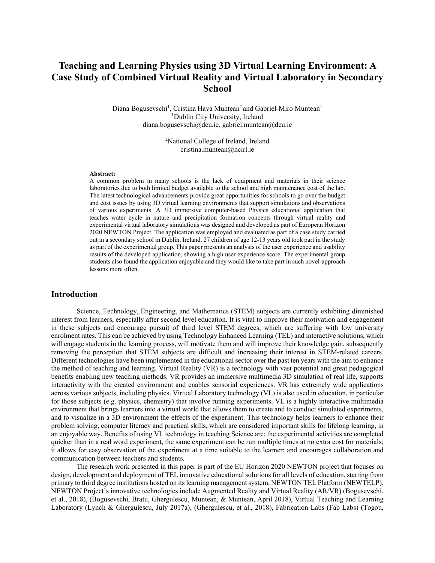# **Teaching and Learning Physics using 3D Virtual Learning Environment: A Case Study of Combined Virtual Reality and Virtual Laboratory in Secondary School**

Diana Bogusevschi<sup>1</sup>, Cristina Hava Muntean<sup>2</sup> and Gabriel-Miro Muntean<sup>1</sup> <sup>1</sup>Dublin City University, Ireland diana.bogusevschi@dcu.ie, gabriel.muntean@dcu.ie

> <sup>2</sup>National College of Ireland, Ireland cristina.muntean@ncirl.ie

#### **Abstract:**

A common problem in many schools is the lack of equipment and materials in their science laboratories due to both limited budget available to the school and high maintenance cost of the lab. The latest technological advancements provide great opportunities for schools to go over the budget and cost issues by using 3D virtual learning environments that support simulations and observations of various experiments. A 3D immersive computer-based Physics educational application that teaches water cycle in nature and precipitation formation concepts through virtual reality and experimental virtual laboratory simulations was designed and developed as part of European Horizon 2020 NEWTON Project. The application was employed and evaluated as part of a case study carried out in a secondary school in Dublin, Ireland. 27 children of age 12-13 years old took part in the study as part of the experimental group. This paper presents an analysis of the user experience and usability results of the developed application, showing a high user experience score. The experimental group students also found the application enjoyable and they would like to take part in such novel-approach lessons more often.

#### **Introduction**

Science, Technology, Engineering, and Mathematics (STEM) subjects are currently exhibiting diminished interest from learners, especially after second level education. It is vital to improve their motivation and engagement in these subjects and encourage pursuit of third level STEM degrees, which are suffering with low university enrolment rates. This can be achieved by using Technology Enhanced Learning (TEL) and interactive solutions, which will engage students in the learning process, will motivate them and will improve their knowledge gain, subsequently removing the perception that STEM subjects are difficult and increasing their interest in STEM-related careers. Different technologies have been implemented in the educational sector over the past ten years with the aim to enhance the method of teaching and learning. Virtual Reality (VR) is a technology with vast potential and great pedagogical benefits enabling new teaching methods. VR provides an immersive multimedia 3D simulation of real life, supports interactivity with the created environment and enables sensorial experiences. VR has extremely wide applications across various subjects, including physics. Virtual Laboratory technology (VL) is also used in education, in particular for those subjects (e.g. physics, chemistry) that involve running experiments. VL is a highly interactive multimedia environment that brings learners into a virtual world that allows them to create and to conduct simulated experiments, and to visualize in a 3D environment the effects of the experiment. This technology helps learners to enhance their problem solving, computer literacy and practical skills, which are considered important skills for lifelong learning, in an enjoyable way. Benefits of using VL technology in teaching Science are: the experimental activities are completed quicker than in a real word experiment, the same experiment can be run multiple times at no extra cost for materials; it allows for easy observation of the experiment at a time suitable to the learner; and encourages collaboration and communication between teachers and students.

The research work presented in this paper is part of the EU Horizon 2020 NEWTON project that focuses on design, development and deployment of TEL innovative educational solutions for all levels of education, starting from primary to third degree institutions hosted on its learning management system, NEWTON TEL Platform (NEWTELP). NEWTON Project's innovative technologies include Augmented Reality and Virtual Reality (AR/VR) (Bogusevschi, et al., 2018), (Bogusevschi, Bratu, Ghergulescu, Muntean, & Muntean, April 2018), Virtual Teaching and Learning Laboratory (Lynch & Ghergulescu, July 2017a), (Ghergulescu, et al., 2018), Fabrication Labs (Fab Labs) (Togou,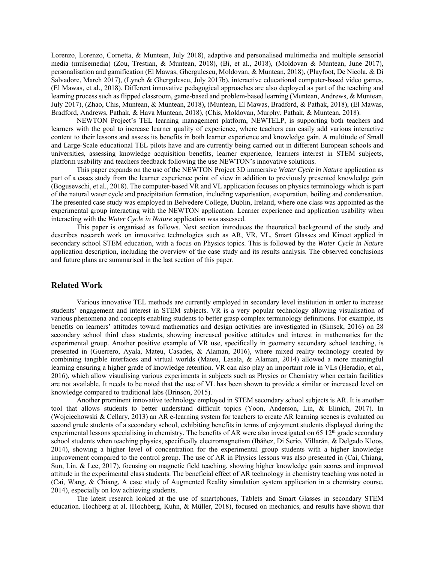Lorenzo, Lorenzo, Cornetta, & Muntean, July 2018), adaptive and personalised multimedia and multiple sensorial media (mulsemedia) (Zou, Trestian, & Muntean, 2018), (Bi, et al., 2018), (Moldovan & Muntean, June 2017), personalisation and gamification (El Mawas, Ghergulescu, Moldovan, & Muntean, 2018), (Playfoot, De Nicola, & Di Salvadore, March 2017), (Lynch & Ghergulescu, July 2017b), interactive educational computer-based video games, (El Mawas, et al., 2018). Different innovative pedagogical approaches are also deployed as part of the teaching and learning process such as flipped classroom, game-based and problem-based learning (Muntean, Andrews, & Muntean, July 2017), (Zhao, Chis, Muntean, & Muntean, 2018), (Muntean, El Mawas, Bradford, & Pathak, 2018), (El Mawas, Bradford, Andrews, Pathak, & Hava Muntean, 2018), (Chis, Moldovan, Murphy, Pathak, & Muntean, 2018).

NEWTON Project's TEL learning management platform, NEWTELP, is supporting both teachers and learners with the goal to increase learner quality of experience, where teachers can easily add various interactive content to their lessons and assess its benefits in both learner experience and knowledge gain. A multitude of Small and Large-Scale educational TEL pilots have and are currently being carried out in different European schools and universities, assessing knowledge acquisition benefits, learner experience, learners interest in STEM subjects, platform usability and teachers feedback following the use NEWTON's innovative solutions.

This paper expands on the use of the NEWTON Project 3D immersive *Water Cycle in Nature* application as part of a cases study from the learner experience point of view in addition to previously presented knowledge gain (Bogusevschi, et al., 2018). The computer-based VR and VL application focuses on physics terminology which is part of the natural water cycle and precipitation formation, including vaporisation, evaporation, boiling and condensation. The presented case study was employed in Belvedere College, Dublin, Ireland, where one class was appointed as the experimental group interacting with the NEWTON application. Learner experience and application usability when interacting with the *Water Cycle in Nature* application was assessed.

This paper is organised as follows. Next section introduces the theoretical background of the study and describes research work on innovative technologies such as AR, VR, VL, Smart Glasses and Kinect applied in secondary school STEM education, with a focus on Physics topics. This is followed by the *Water Cycle in Nature* application description, including the overview of the case study and its results analysis. The observed conclusions and future plans are summarised in the last section of this paper.

## **Related Work**

Various innovative TEL methods are currently employed in secondary level institution in order to increase students' engagement and interest in STEM subjects. VR is a very popular technology allowing visualisation of various phenomena and concepts enabling students to better grasp complex terminology definitions. For example, its benefits on learners' attitudes toward mathematics and design activities are investigated in (Simsek, 2016) on 28 secondary school third class students, showing increased positive attitudes and interest in mathematics for the experimental group. Another positive example of VR use, specifically in geometry secondary school teaching, is presented in (Guerrero, Ayala, Mateu, Casades, & Alamán, 2016), where mixed reality technology created by combining tangible interfaces and virtual worlds (Mateu, Lasala, & Alaman, 2014) allowed a more meaningful learning ensuring a higher grade of knowledge retention. VR can also play an important role in VLs (Heradio, et al., 2016), which allow visualising various experiments in subjects such as Physics or Chemistry when certain facilities are not available. It needs to be noted that the use of VL has been shown to provide a similar or increased level on knowledge compared to traditional labs (Brinson, 2015).

Another prominent innovative technology employed in STEM secondary school subjects is AR. It is another tool that allows students to better understand difficult topics (Yoon, Anderson, Lin, & Elinich, 2017). In (Wojciechowski & Cellary, 2013) an AR e-learning system for teachers to create AR learning scenes is evaluated on second grade students of a secondary school, exhibiting benefits in terms of enjoyment students displayed during the experimental lessons specialising in chemistry. The benefits of AR were also investigated on 65  $12<sup>th</sup>$  grade secondary school students when teaching physics, specifically electromagnetism (Ibáñez, Di Serio, Villarán, & Delgado Kloos, 2014), showing a higher level of concentration for the experimental group students with a higher knowledge improvement compared to the control group. The use of AR in Physics lessons was also presented in (Cai, Chiang, Sun, Lin, & Lee, 2017), focusing on magnetic field teaching, showing higher knowledge gain scores and improved attitude in the experimental class students. The beneficial effect of AR technology in chemistry teaching was noted in (Cai, Wang, & Chiang, A case study of Augmented Reality simulation system application in a chemistry course, 2014), especially on low achieving students.

The latest research looked at the use of smartphones, Tablets and Smart Glasses in secondary STEM education. Hochberg at al. (Hochberg, Kuhn, & Müller, 2018), focused on mechanics, and results have shown that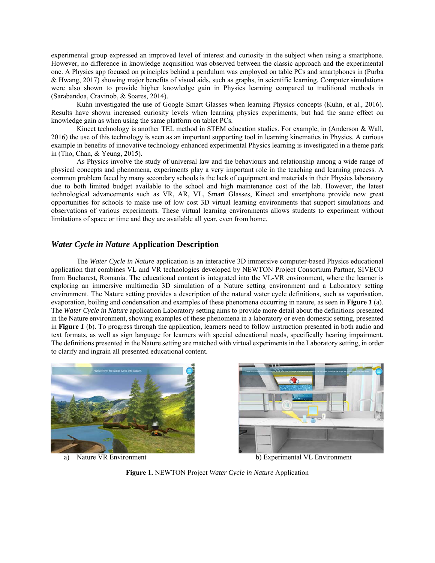experimental group expressed an improved level of interest and curiosity in the subject when using a smartphone. However, no difference in knowledge acquisition was observed between the classic approach and the experimental one. A Physics app focused on principles behind a pendulum was employed on table PCs and smartphones in (Purba & Hwang, 2017) showing major benefits of visual aids, such as graphs, in scientific learning. Computer simulations were also shown to provide higher knowledge gain in Physics learning compared to traditional methods in (Sarabandoa, Cravinob, & Soares, 2014).

Kuhn investigated the use of Google Smart Glasses when learning Physics concepts (Kuhn, et al., 2016). Results have shown increased curiosity levels when learning physics experiments, but had the same effect on knowledge gain as when using the same platform on tablet PCs.

Kinect technology is another TEL method in STEM education studies. For example, in (Anderson & Wall, 2016) the use of this technology is seen as an important supporting tool in learning kinematics in Physics. A curious example in benefits of innovative technology enhanced experimental Physics learning is investigated in a theme park in (Tho, Chan, & Yeung, 2015).

As Physics involve the study of universal law and the behaviours and relationship among a wide range of physical concepts and phenomena, experiments play a very important role in the teaching and learning process. A common problem faced by many secondary schools is the lack of equipment and materials in their Physics laboratory due to both limited budget available to the school and high maintenance cost of the lab. However, the latest technological advancements such as VR, AR, VL, Smart Glasses, Kinect and smartphone provide now great opportunities for schools to make use of low cost 3D virtual learning environments that support simulations and observations of various experiments. These virtual learning environments allows students to experiment without limitations of space or time and they are available all year, even from home.

# *Water Cycle in Nature* **Application Description**

The *Water Cycle in Nature* application is an interactive 3D immersive computer-based Physics educational application that combines VL and VR technologies developed by NEWTON Project Consortium Partner, SIVECO from Bucharest, Romania. The educational content is integrated into the VL-VR environment, where the learner is exploring an immersive multimedia 3D simulation of a Nature setting environment and a Laboratory setting environment. The Nature setting provides a description of the natural water cycle definitions, such as vaporisation, evaporation, boiling and condensation and examples of these phenomena occurring in nature, as seen in **Figure** *1* (a). The *Water Cycle in Nature* application Laboratory setting aims to provide more detail about the definitions presented in the Nature environment, showing examples of these phenomena in a laboratory or even domestic setting, presented in **Figure** *1* (b). To progress through the application, learners need to follow instruction presented in both audio and text formats, as well as sign language for learners with special educational needs, specifically hearing impairment. The definitions presented in the Nature setting are matched with virtual experiments in the Laboratory setting, in order to clarify and ingrain all presented educational content.





a) Nature VR Environment b) Experimental VL Environment

**Figure 1.** NEWTON Project *Water Cycle in Nature* Application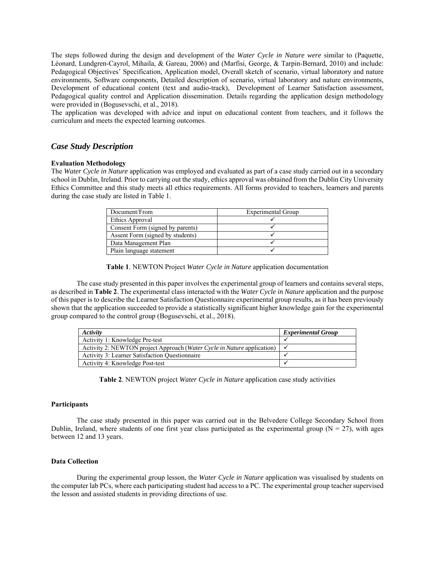The steps followed during the design and development of the *Water Cycle in Nature were* similar to (Paquette, Léonard, Lundgren-Cayrol, Mihaila, & Gareau, 2006) and (Marfisi, George, & Tarpin-Bernard, 2010) and include: Pedagogical Objectives' Specification, Application model, Overall sketch of scenario, virtual laboratory and nature environments, Software components, Detailed description of scenario, virtual laboratory and nature environments, Development of educational content (text and audio-track), Development of Learner Satisfaction assessment, Pedagogical quality control and Application dissemination. Details regarding the application design methodology were provided in (Bogusevschi, et al., 2018).

The application was developed with advice and input on educational content from teachers, and it follows the curriculum and meets the expected learning outcomes.

# *Case Study Description*

#### **Evaluation Methodology**

The *Water Cycle in Nature* application was employed and evaluated as part of a case study carried out in a secondary school in Dublin, Ireland. Prior to carrying out the study, ethics approval was obtained from the Dublin City University Ethics Committee and this study meets all ethics requirements. All forms provided to teachers, learners and parents during the case study are listed in Table 1.

| Document/From                    | Experimental Group |
|----------------------------------|--------------------|
| Ethics Approval                  |                    |
| Consent Form (signed by parents) |                    |
| Assent Form (signed by students) |                    |
| Data Management Plan             |                    |
| Plain language statement         |                    |

**Table 1**. NEWTON Project *Water Cycle in Nature* application documentation

The case study presented in this paper involves the experimental group of learners and contains several steps, as described in **Table 2**. The experimental class interacted with the *Water Cycle in Nature* application and the purpose of this paper is to describe the Learner Satisfaction Questionnaire experimental group results, as it has been previously shown that the application succeeded to provide a statistically significant higher knowledge gain for the experimental group compared to the control group (Bogusevschi, et al., 2018).

| Activity                                                                | <b>Experimental Group</b> |
|-------------------------------------------------------------------------|---------------------------|
| Activity 1: Knowledge Pre-test                                          |                           |
| Activity 2: NEWTON project Approach (Water Cycle in Nature application) |                           |
| <b>Activity 3: Learner Satisfaction Questionnaire</b>                   |                           |
| Activity 4: Knowledge Post-test                                         |                           |

**Table 2**. NEWTON project *Water Cycle in Nature* application case study activities

#### **Participants**

The case study presented in this paper was carried out in the Belvedere College Secondary School from Dublin, Ireland, where students of one first year class participated as the experimental group ( $N = 27$ ), with ages between 12 and 13 years.

#### **Data Collection**

During the experimental group lesson, the *Water Cycle in Nature* application was visualised by students on the computer lab PCs, where each participating student had access to a PC. The experimental group teacher supervised the lesson and assisted students in providing directions of use.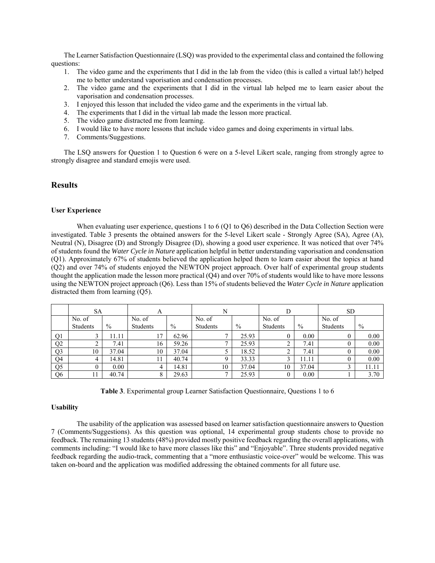The Learner Satisfaction Questionnaire (LSQ) was provided to the experimental class and contained the following questions:

- 1. The video game and the experiments that I did in the lab from the video (this is called a virtual lab!) helped me to better understand vaporisation and condensation processes.
- 2. The video game and the experiments that I did in the virtual lab helped me to learn easier about the vaporisation and condensation processes.
- 3. I enjoyed this lesson that included the video game and the experiments in the virtual lab.
- 4. The experiments that I did in the virtual lab made the lesson more practical.
- 5. The video game distracted me from learning.
- 6. I would like to have more lessons that include video games and doing experiments in virtual labs.
- 7. Comments/Suggestions.

The LSQ answers for Question 1 to Question 6 were on a 5-level Likert scale, ranging from strongly agree to strongly disagree and standard emojis were used.

# **Results**

### **User Experience**

When evaluating user experience, questions 1 to 6 (Q1 to Q6) described in the Data Collection Section were investigated. Table 3 presents the obtained answers for the 5-level Likert scale - Strongly Agree (SA), Agree (A), Neutral (N), Disagree (D) and Strongly Disagree (D), showing a good user experience. It was noticed that over 74% of students found the *Water Cycle in Nature* application helpful in better understanding vaporisation and condensation (Q1). Approximately 67% of students believed the application helped them to learn easier about the topics at hand (Q2) and over 74% of students enjoyed the NEWTON project approach. Over half of experimental group students thought the application made the lesson more practical (Q4) and over 70% of students would like to have more lessons using the NEWTON project approach (Q6). Less than 15% of students believed the *Water Cycle in Nature* application distracted them from learning (Q5).

|                | SA       |       | A        |               | N            |               |          |               | <b>SD</b> |       |
|----------------|----------|-------|----------|---------------|--------------|---------------|----------|---------------|-----------|-------|
|                | No. of   |       | No. of   |               | No. of       |               | No. of   |               | No. of    |       |
|                | Students | $\%$  | Students | $\frac{0}{0}$ | Students     | $\frac{0}{0}$ | Students | $\frac{0}{0}$ | Students  | $\%$  |
| Q <sub>1</sub> | Ć        | 11.11 | 17       | 62.96         |              | 25.93         | 0        | 0.00          |           | 0.00  |
| Q <sub>2</sub> | ∠        | 7.41  | 16       | 59.26         |              | 25.93         | ∠        | 7.41          |           | 0.00  |
| Q <sub>3</sub> | 10       | 37.04 | 10       | 37.04         |              | 18.52         |          | 7.41          |           | 0.00  |
| O <sub>4</sub> | 4        | 14.81 | 11       | 40.74         |              | 33.33         |          | 11.11         |           | 0.00  |
| Q <sub>5</sub> | O        | 0.00  | 4        | 14.81         | 10           | 37.04         | 10       | 37.04         |           | 11.11 |
| Q <sub>6</sub> | 11       | 40.74 |          | 29.63         | $\mathbf{r}$ | 25.93         |          | 0.00          |           | 3.70  |

|  |  |  |  |  | Table 3. Experimental group Learner Satisfaction Questionnaire, Questions 1 to 6 |  |  |
|--|--|--|--|--|----------------------------------------------------------------------------------|--|--|
|--|--|--|--|--|----------------------------------------------------------------------------------|--|--|

#### **Usability**

The usability of the application was assessed based on learner satisfaction questionnaire answers to Question 7 (Comments/Suggestions). As this question was optional, 14 experimental group students chose to provide no feedback. The remaining 13 students (48%) provided mostly positive feedback regarding the overall applications, with comments including: "I would like to have more classes like this" and "Enjoyable". Three students provided negative feedback regarding the audio-track, commenting that a "more enthusiastic voice-over" would be welcome. This was taken on-board and the application was modified addressing the obtained comments for all future use.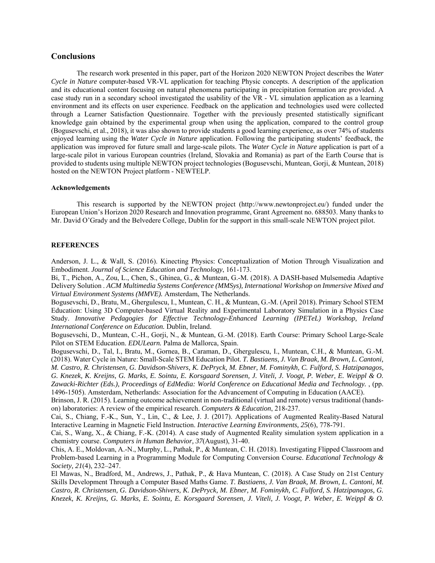## **Conclusions**

The research work presented in this paper, part of the Horizon 2020 NEWTON Project describes the *Water Cycle in Nature* computer-based VR-VL application for teaching Physic concepts. A description of the application and its educational content focusing on natural phenomena participating in precipitation formation are provided. A case study run in a secondary school investigated the usability of the VR - VL simulation application as a learning environment and its effects on user experience. Feedback on the application and technologies used were collected through a Learner Satisfaction Questionnaire. Together with the previously presented statistically significant knowledge gain obtained by the experimental group when using the application, compared to the control group (Bogusevschi, et al., 2018), it was also shown to provide students a good learning experience, as over 74% of students enjoyed learning using the *Water Cycle in Nature* application. Following the participating students' feedback, the application was improved for future small and large-scale pilots. The *Water Cycle in Nature* application is part of a large-scale pilot in various European countries (Ireland, Slovakia and Romania) as part of the Earth Course that is provided to students using multiple NEWTON project technologies (Bogusevschi, Muntean, Gorji, & Muntean, 2018) hosted on the NEWTON Project platform - NEWTELP.

## **Acknowledgements**

This research is supported by the NEWTON project (http://www.newtonproject.eu/) funded under the European Union's Horizon 2020 Research and Innovation programme, Grant Agreement no. 688503. Many thanks to Mr. David O'Grady and the Belvedere College, Dublin for the support in this small-scale NEWTON project pilot.

#### **REFERENCES**

Anderson, J. L., & Wall, S. (2016). Kinecting Physics: Conceptualization of Motion Through Visualization and Embodiment. *Journal of Science Education and Technology*, 161-173.

Bi, T., Pichon, A., Zou, L., Chen, S., Ghinea, G., & Muntean, G.-M. (2018). A DASH-based Mulsemedia Adaptive Delivery Solution . *ACM Multimedia Systems Conference (MMSys), International Workshop on Immersive Mixed and Virtual Environment Systems (MMVE).* Amsterdam, The Netherlands.

Bogusevschi, D., Bratu, M., Ghergulescu, I., Muntean, C. H., & Muntean, G.-M. (April 2018). Primary School STEM Education: Using 3D Computer-based Virtual Reality and Experimental Laboratory Simulation in a Physics Case Study. *Innovative Pedagogies for Effective Technology-Enhanced Learning (IPETeL) Workshop, Ireland International Conference on Education.* Dublin, Ireland.

Bogusevschi, D., Muntean, C.-H., Gorji, N., & Muntean, G.-M. (2018). Earth Course: Primary School Large-Scale Pilot on STEM Education. *EDULearn.* Palma de Mallorca, Spain.

Bogusevschi, D., Tal, I., Bratu, M., Gornea, B., Caraman, D., Ghergulescu, I., Muntean, C.H., & Muntean, G.-M. (2018). Water Cycle in Nature: Small-Scale STEM Education Pilot. *T. Bastiaens, J. Van Braak, M. Brown, L. Cantoni, M. Castro, R. Christensen, G. Davidson-Shivers, K. DePryck, M. Ebner, M. Fominykh, C. Fulford, S. Hatzipanagos, G. Knezek, K. Kreijns, G. Marks, E. Sointu, E. Korsgaard Sorensen, J. Viteli, J. Voogt, P. Weber, E. Weippl & O. Zawacki-Richter (Eds.), Proceedings of EdMedia: World Conference on Educational Media and Technology.* , (pp. 1496-1505). Amsterdam, Netherlands: Association for the Advancement of Computing in Education (AACE).

Brinson, J. R. (2015). Learning outcome achievement in non-traditional (virtual and remote) versus traditional (handson) laboratories: A review of the empirical research. *Computers & Education*, 218-237.

Cai, S., Chiang, F.-K., Sun, Y., Lin, C., & Lee, J. J. (2017). Applications of Augmented Reality-Based Natural Interactive Learning in Magnetic Field Instruction. *Interactive Learning Environments, 25*(6), 778-791.

Cai, S., Wang, X., & Chiang, F.-K. (2014). A case study of Augmented Reality simulation system application in a chemistry course. *Computers in Human Behavior, 37*(August), 31-40.

Chis, A. E., Moldovan, A.-N., Murphy, L., Pathak, P., & Muntean, C. H. (2018). Investigating Flipped Classroom and Problem-based Learning in a Programming Module for Computing Conversion Course. *Educational Technology & Society, 21*(4), 232–247.

El Mawas, N., Bradford, M., Andrews, J., Pathak, P., & Hava Muntean, C. (2018). A Case Study on 21st Century Skills Development Through a Computer Based Maths Game. *T. Bastiaens, J. Van Braak, M. Brown, L. Cantoni, M. Castro, R. Christensen, G. Davidson-Shivers, K. DePryck, M. Ebner, M. Fominykh, C. Fulford, S. Hatzipanagos, G. Knezek, K. Kreijns, G. Marks, E. Sointu, E. Korsgaard Sorensen, J. Viteli, J. Voogt, P. Weber, E. Weippl & O.*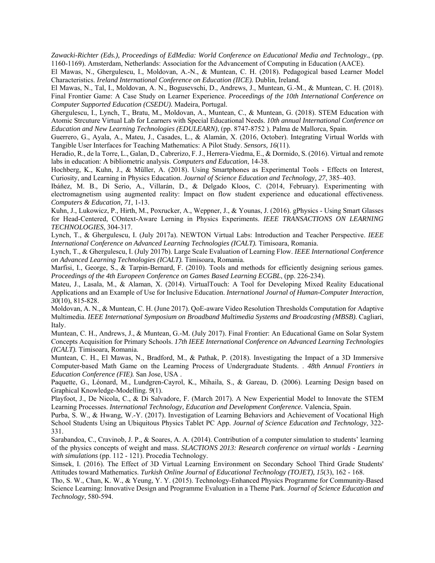*Zawacki-Richter (Eds.), Proceedings of EdMedia: World Conference on Educational Media and Technology.*, (pp. 1160-1169). Amsterdam, Netherlands: Association for the Advancement of Computing in Education (AACE).

El Mawas, N., Ghergulescu, I., Moldovan, A.-N., & Muntean, C. H. (2018). Pedagogical based Learner Model Characteristics. *Ireland International Conference on Education (IICE).* Dublin, Ireland.

El Mawas, N., Tal, I., Moldovan, A. N., Bogusevschi, D., Andrews, J., Muntean, G.-M., & Muntean, C. H. (2018). Final Frontier Game: A Case Study on Learner Experience. *Proceedings of the 10th International Conference on Computer Supported Education (CSEDU).* Madeira, Portugal.

Ghergulescu, I., Lynch, T., Bratu, M., Moldovan, A., Muntean, C., & Muntean, G. (2018). STEM Education with Atomic Strcuture Virtual Lab for Learners with Special Educational Needs. *10th annual International Conference on Education and New Learning Technologies (EDULEARN)*, (pp. 8747-8752 ). Palma de Mallorca, Spain.

Guerrero, G., Ayala, A., Mateu, J., Casades, L., & Alamán, X. (2016, October). Integrating Virtual Worlds with Tangible User Interfaces for Teaching Mathematics: A Pilot Study. *Sensors, 16*(11).

Heradio, R., de la Torre, L., Galan, D., Cabrerizo, F. J., Herrera-Viedma, E., & Dormido, S. (2016). Virtual and remote labs in education: A bibliometric analysis. *Computers and Education*, 14-38.

Hochberg, K., Kuhn, J., & Müller, A. (2018). Using Smartphones as Experimental Tools - Effects on Interest, Curiosity, and Learning in Physics Education. *Journal of Science Education and Technology, 27*, 385–403.

Ibáñez, M. B., Di Serio, A., Villarán, D., & Delgado Kloos, C. (2014, February). Experimenting with electromagnetism using augmented reality: Impact on flow student experience and educational effectiveness. *Computers & Education, 71*, 1-13.

Kuhn, J., Lukowicz, P., Hirth, M., Poxrucker, A., Weppner, J., & Younas, J. (2016). gPhysics - Using Smart Glasses for Head-Centered, COntext-Aware Lerning in Physics Experiments. *IEEE TRANSACTIONS ON LEARNING TECHNOLOGIES*, 304-317.

Lynch, T., & Ghergulescu, I. (July 2017a). NEWTON Virtual Labs: Introduction and Teacher Perspective. *IEEE International Conference on Advanced Learning Technologies (ICALT).* Timisoara, Romania.

Lynch, T., & Ghergulescu, I. (July 2017b). Large Scale Evaluation of Learning Flow. *IEEE International Conference on Advanced Learning Technologies (ICALT).* Timisoara, Romania.

Marfisi, I., George, S., & Tarpin-Bernard, F. (2010). Tools and methods for efficiently designing serious games. *Proceedings of the 4th Europeen Conference on Games Based Learning ECGBL*, (pp. 226-234).

Mateu, J., Lasala, M., & Alaman, X. (2014). VirtualTouch: A Tool for Developing Mixed Reality Educational Applications and an Example of Use for Inclusive Education. *International Journal of Human-Computer Interaction, 30*(10), 815-828.

Moldovan, A. N., & Muntean, C. H. (June 2017). QoE-aware Video Resolution Thresholds Computation for Adaptive Multimedia. *IEEE International Symposium on Broadband Multimedia Systems and Broadcasting (MBSB).* Cagliari, Italy.

Muntean, C. H., Andrews, J., & Muntean, G.-M. (July 2017). Final Frontier: An Educational Game on Solar System Concepts Acquisition for Primary Schools. *17th IEEE International Conference on Advanced Learning Technologies (ICALT).* Timisoara, Romania.

Muntean, C. H., El Mawas, N., Bradford, M., & Pathak, P. (2018). Investigating the Impact of a 3D Immersive Computer-based Math Game on the Learning Process of Undergraduate Students. . *48th Annual Frontiers in Education Conference (FIE).* San Jose, USA .

Paquette, G., Léonard, M., Lundgren-Cayrol, K., Mihaila, S., & Gareau, D. (2006). Learning Design based on Graphical Knowledge-Modelling. *9*(1).

Playfoot, J., De Nicola, C., & Di Salvadore, F. (March 2017). A New Experiential Model to Innovate the STEM Learning Processes. *International Technology, Education and Development Conference.* Valencia, Spain.

Purba, S. W., & Hwang, W.-Y. (2017). Investigation of Learning Behaviors and Achievement of Vocational High School Students Using an Ubiquitous Physics Tablet PC App. *Journal of Science Education and Technology*, 322- 331.

Sarabandoa, C., Cravinob, J. P., & Soares, A. A. (2014). Contribution of a computer simulation to students' learning of the physics concepts of weight and mass. *SLACTIONS 2013: Research conference on virtual worlds - Learning with simulations* (pp. 112 - 121). Procedia Technology.

Simsek, I. (2016). The Effect of 3D Virtual Learning Environment on Secondary School Third Grade Students' Attitudes toward Mathematics. *Turkish Online Journal of Educational Technology (TOJET), 15*(3), 162 - 168.

Tho, S. W., Chan, K. W., & Yeung, Y. Y. (2015). Technology-Enhanced Physics Programme for Community-Based Science Learning: Innovative Design and Programme Evaluation in a Theme Park. *Journal of Science Education and Technology*, 580-594.